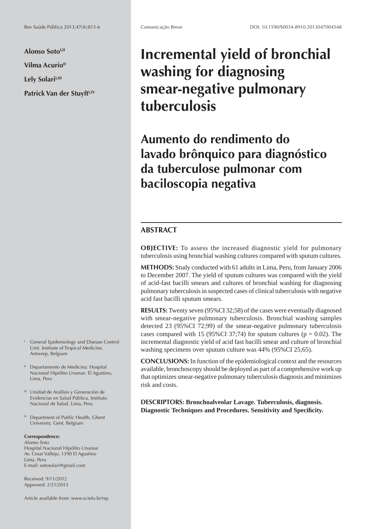**Alonso SotoI,II Vilma Acurio<sup>II</sup>** Lely Solari<sup>1,III</sup> Patrick Van der Stuyft<sup>I,IV</sup>

- I General Epidemiology and Disease Control Unit. Institute of Tropical Medicine. Antwerp, Belgium
- <sup>II</sup> Departamento de Medicina. Hospital Nacional Hipólito Unanue. El Agustino, Lima, Peru
- III Unidad de Análisis y Generación de Evidencias en Salud Pública, Instituto Nacional de Salud. Lima, Peru
- *Department of Public Health, Ghent* University. Gent, Belgium

#### **Correspondence:**

Alonso Soto Hospital Nacional Hipólito Unanue Av. Cesar Vallejo, 1390 El Agustino Lima, Peru E-mail: sotosolari@gmail.com

Received: 9/11/2012 Approved: 2/21/2013

Article available from: www.scielo.br/rsp

# **Incremental yield of bronchial washing for diagnosing smear-negative pulmonary tuberculosis**

**Aumento do rendimento do lavado brônquico para diagnóstico da tuberculose pulmonar com baciloscopia negativa**

# **ABSTRACT**

**OBJECTIVE:** To assess the increased diagnostic yield for pulmonary tuberculosis using bronchial washing cultures compared with sputum cultures.

**METHODS:** Study conducted with 61 adults in Lima, Peru, from January 2006 to December 2007. The yield of sputum cultures was compared with the yield of acid-fast bacilli smears and cultures of bronchial washing for diagnosing pulmonary tuberculosis in suspected cases of clinical tuberculosis with negative acid fast bacilli sputum smears.

**RESULTS:** Twenty seven (95%CI 32;58) of the cases were eventually diagnosed with smear-negative pulmonary tuberculosis. Bronchial washing samples detected 23 (95%CI 72;99) of the smear-negative pulmonary tuberculosis cases compared with 15 (95%CI 37;74) for sputum cultures ( $p = 0.02$ ). The incremental diagnostic yield of acid fast bacilli smear and culture of bronchial washing specimens over sputum culture was 44% (95%CI 25;65).

**CONCLUSIONS:** In function of the epidemiological context and the resources available, bronchoscopy should be deployed as part of a comprehensive work up that optimizes smear-negative pulmonary tuberculosis diagnosis and minimizes risk and costs.

**DESCRIPTORS: Bronchoalveolar Lavage. Tuberculosis, diagnosis. Diagnostic Techniques and Procedures. Sensitivity and Specifi city.**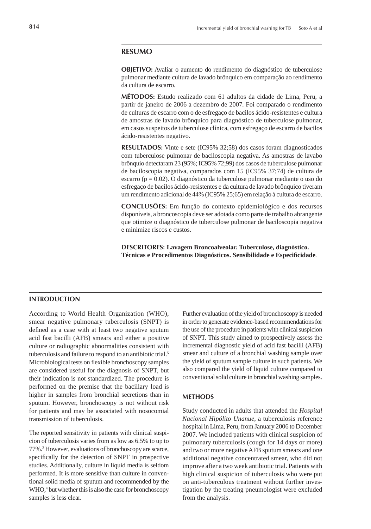## **RESUMO**

**OBJETIVO:** Avaliar o aumento do rendimento do diagnóstico de tuberculose pulmonar mediante cultura de lavado brônquico em comparação ao rendimento da cultura de escarro.

**MÉTODOS:** Estudo realizado com 61 adultos da cidade de Lima, Peru, a partir de janeiro de 2006 a dezembro de 2007. Foi comparado o rendimento de culturas de escarro com o de esfregaço de bacilos ácido-resistentes e cultura de amostras de lavado brônquico para diagnóstico de tuberculose pulmonar, em casos suspeitos de tuberculose clínica, com esfregaço de escarro de bacilos ácido-resistentes negativo.

**RESULTADOS:** Vinte e sete (IC95% 32;58) dos casos foram diagnosticados com tuberculose pulmonar de baciloscopia negativa. As amostras de lavabo brônquio detectaram 23 (95%; IC95% 72;99) dos casos de tuberculose pulmonar de baciloscopia negativa, comparados com 15 (IC95% 37;74) de cultura de escarro (p = 0.02). O diagnóstico da tuberculose pulmonar mediante o uso do esfregaço de bacilos ácido-resistentes e da cultura de lavado brônquico tiveram um rendimento adicional de 44% (IC95% 25;65) em relação à cultura de escarro.

**CONCLUSÕES:** Em função do contexto epidemiológico e dos recursos disponíveis, a broncoscopia deve ser adotada como parte de trabalho abrangente que otimize o diagnóstico de tuberculose pulmonar de baciloscopia negativa e minimize riscos e custos.

**DESCRITORES: Lavagem Broncoalveolar. Tuberculose, diagnóstico. Técnicas e Procedimentos Diagnósticos. Sensibilidade e Especifi cidade***.*

### **INTRODUCTION**

According to World Health Organization (WHO), smear negative pulmonary tuberculosis (SNPT) is defined as a case with at least two negative sputum acid fast bacilli (AFB) smears and either a positive culture or radiographic abnormalities consistent with tuberculosis and failure to respond to an antibiotic trial.<sup>5</sup> Microbiological tests on flexible bronchoscopy samples are considered useful for the diagnosis of SNPT, but their indication is not standardized. The procedure is performed on the premise that the bacillary load is higher in samples from bronchial secretions than in sputum. However, bronchoscopy is not without risk for patients and may be associated with nosocomial transmission of tuberculosis.

The reported sensitivity in patients with clinical suspicion of tuberculosis varies from as low as 6.5% to up to 77%.2 However, evaluations of bronchoscopy are scarce, specifically for the detection of SNPT in prospective studies. Additionally, culture in liquid media is seldom performed. It is more sensitive than culture in conventional solid media of sputum and recommended by the WHO,<sup>4</sup> but whether this is also the case for bronchoscopy samples is less clear.

Further evaluation of the yield of bronchoscopy is needed in order to generate evidence-based recommendations for the use of the procedure in patients with clinical suspicion of SNPT. This study aimed to prospectively assess the incremental diagnostic yield of acid fast bacilli (AFB) smear and culture of a bronchial washing sample over the yield of sputum sample culture in such patients. We also compared the yield of liquid culture compared to conventional solid culture in bronchial washing samples.

#### **METHODS**

Study conducted in adults that attended the *Hospital Nacional Hipólito Unanue*, a tuberculosis reference hospital in Lima, Peru, from January 2006 to December 2007. We included patients with clinical suspicion of pulmonary tuberculosis (cough for 14 days or more) and two or more negative AFB sputum smears and one additional negative concentrated smear, who did not improve after a two week antibiotic trial. Patients with high clinical suspicion of tuberculosis who were put on anti-tuberculous treatment without further investigation by the treating pneumologist were excluded from the analysis.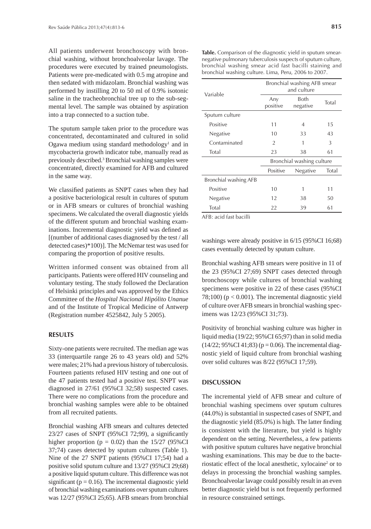All patients underwent bronchoscopy with bronchial washing, without bronchoalveolar lavage. The procedures were executed by trained pneumologists. Patients were pre-medicated with 0.5 mg atropine and then sedated with midazolam. Bronchial washing was performed by instilling 20 to 50 ml of 0.9% isotonic saline in the tracheobronchial tree up to the sub-segmental level. The sample was obtained by aspiration into a trap connected to a suction tube.

The sputum sample taken prior to the procedure was concentrated, decontaminated and cultured in solid Ogawa medium using standard methodology<sup>1</sup> and in mycobacteria growth indicator tube, manually read as previously described.<sup>3</sup> Bronchial washing samples were concentrated, directly examined for AFB and cultured in the same way.

We classified patients as SNPT cases when they had a positive bacteriological result in cultures of sputum or in AFB smears or cultures of bronchial washing specimens. We calculated the overall diagnostic yields of the different sputum and bronchial washing examinations. Incremental diagnostic yield was defined as [(number of additional cases diagnosed by the test / all detected cases)\*100)]. The McNemar test was used for comparing the proportion of positive results.

Written informed consent was obtained from all participants. Patients were offered HIV counseling and voluntary testing. The study followed the Declaration of Helsinki principles and was approved by the Ethics Committee of the *Hospital Nacional Hipólito Unanue* and of the Institute of Tropical Medicine of Antwerp (Registration number 4525842, July 5 2005).

#### **RESULTS**

Sixty-one patients were recruited. The median age was 33 (interquartile range 26 to 43 years old) and 52% were males; 21% had a previous history of tuberculosis. Fourteen patients refused HIV testing and one out of the 47 patients tested had a positive test. SNPT was diagnosed in 27/61 (95%CI 32;58) suspected cases. There were no complications from the procedure and bronchial washing samples were able to be obtained from all recruited patients.

Bronchial washing AFB smears and cultures detected  $23/27$  cases of SNPT (95%CI 72;99), a significantly higher proportion ( $p = 0.02$ ) than the 15/27 (95%CI 37;74) cases detected by sputum cultures (Table 1). Nine of the 27 SNPT patients (95%CI 17;54) had a positive solid sputum culture and 13/27 (95%CI 29;68) a positive liquid sputum culture. This difference was not significant ( $p = 0.16$ ). The incremental diagnostic yield of bronchial washing examinations over sputum cultures was 12/27 (95%CI 25;65). AFB smears from bronchial

**Table.** Comparison of the diagnostic yield in sputum smearnegative pulmonary tuberculosis suspects of sputum culture, bronchial washing smear acid fast bacilli staining and bronchial washing culture. Lima, Peru, 2006 to 2007.

| Variable              | Bronchial washing AFB smear<br>and culture |                  |       |
|-----------------------|--------------------------------------------|------------------|-------|
|                       | Any<br>positive                            | Both<br>negative | Total |
| Sputum culture        |                                            |                  |       |
| Positive              | 11                                         | 4                | 15    |
| Negative              | 10                                         | 33               | 43    |
| Contaminated          | $\overline{2}$                             | 1                | 3     |
| Total                 | 23                                         | 38               | 61    |
|                       | Bronchial washing culture                  |                  |       |
|                       | Positive                                   | Negative         | Total |
| Bronchial washing AFB |                                            |                  |       |
| Positive              | 10                                         | 1                | 11    |
| Negative              | 12                                         | 38               | 50    |
| Total                 | 22                                         | 39               | 61    |

AFB: acid fast bacilli

washings were already positive in 6/15 (95%CI 16;68) cases eventually detected by sputum culture.

Bronchial washing AFB smears were positive in 11 of the 23 (95%CI 27;69) SNPT cases detected through bronchoscopy while cultures of bronchial washing specimens were positive in 22 of these cases (95%CI 78;100) ( $p < 0.001$ ). The incremental diagnostic yield of culture over AFB smears in bronchial washing specimens was 12/23 (95%CI 31;73).

Positivity of bronchial washing culture was higher in liquid media (19/22; 95%CI 65;97) than in solid media  $(14/22; 95\% \text{CI } 41; 83)$  (p = 0.06). The incremental diagnostic yield of liquid culture from bronchial washing over solid cultures was 8/22 (95%CI 17;59).

#### **DISCUSSION**

The incremental yield of AFB smear and culture of bronchial washing specimens over sputum cultures (44.0%) is substantial in suspected cases of SNPT, and the diagnostic yield  $(85.0\%)$  is high. The latter finding is consistent with the literature, but yield is highly dependent on the setting. Nevertheless, a few patients with positive sputum cultures have negative bronchial washing examinations. This may be due to the bacteriostatic effect of the local anesthetic, xylocaine<sup>2</sup> or to delays in processing the bronchial washing samples. Bronchoalveolar lavage could possibly result in an even better diagnostic yield but is not frequently performed in resource constrained settings.